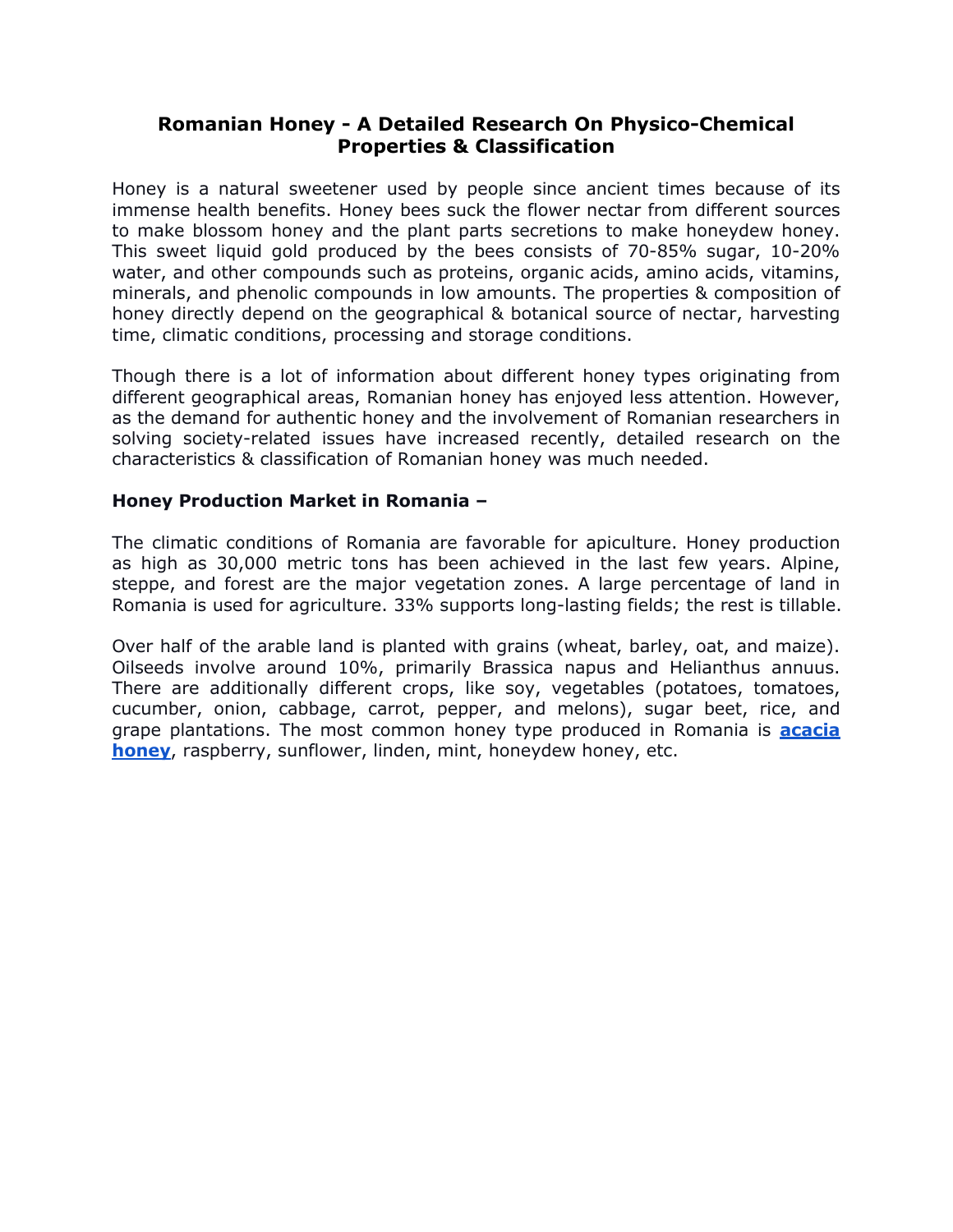## **Romanian Honey - A Detailed Research On Physico-Chemical Properties & Classification**

Honey is a natural sweetener used by people since ancient times because of its immense health benefits. Honey bees suck the flower nectar from different sources to make blossom honey and the plant parts secretions to make honeydew honey. This sweet liquid gold produced by the bees consists of 70-85% sugar, 10-20% water, and other compounds such as proteins, organic acids, amino acids, vitamins, minerals, and phenolic compounds in low amounts. The properties & composition of honey directly depend on the geographical & botanical source of nectar, harvesting time, climatic conditions, processing and storage conditions.

Though there is a lot of information about different honey types originating from different geographical areas, Romanian honey has enjoyed less attention. However, as the demand for authentic honey and the involvement of Romanian researchers in solving society-related issues have increased recently, detailed research on the characteristics & classification of Romanian honey was much needed.

#### **Honey Production Market in Romania –**

The climatic conditions of Romania are favorable for apiculture. Honey production as high as 30,000 metric tons has been achieved in the last few years. Alpine, steppe, and forest are the major vegetation zones. A large percentage of land in Romania is used for agriculture. 33% supports long-lasting fields; the rest is tillable.

Over half of the arable land is planted with grains (wheat, barley, oat, and maize). Oilseeds involve around 10%, primarily Brassica napus and Helianthus annuus. There are additionally different crops, like soy, vegetables (potatoes, tomatoes, cucumber, onion, cabbage, carrot, pepper, and melons), sugar beet, rice, and grape plantations. The most common honey type produced in Romania is **acacia honey**, raspberry, sunflower, linden, mint, honeydew honey, etc.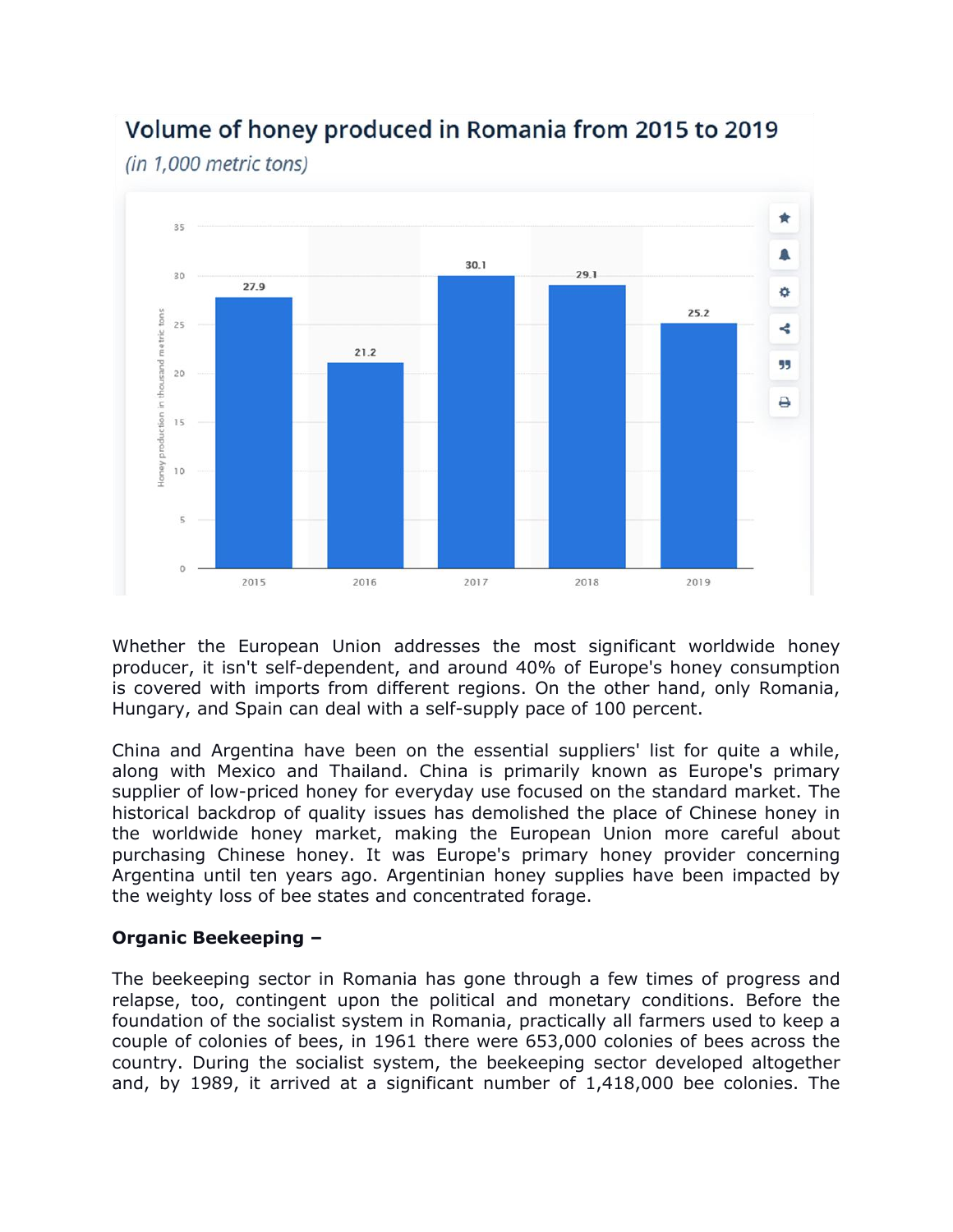

# Volume of honey produced in Romania from 2015 to 2019

(in 1.000 metric tons)

Whether the European Union addresses the most significant worldwide honey producer, it isn't self-dependent, and around 40% of Europe's honey consumption is covered with imports from different regions. On the other hand, only Romania, Hungary, and Spain can deal with a self-supply pace of 100 percent.

China and Argentina have been on the essential suppliers' list for quite a while, along with Mexico and Thailand. China is primarily known as Europe's primary supplier of low-priced honey for everyday use focused on the standard market. The historical backdrop of quality issues has demolished the place of Chinese honey in the worldwide honey market, making the European Union more careful about purchasing Chinese honey. It was Europe's primary honey provider concerning Argentina until ten years ago. Argentinian honey supplies have been impacted by the weighty loss of bee states and concentrated forage.

## **Organic Beekeeping –**

The beekeeping sector in Romania has gone through a few times of progress and relapse, too, contingent upon the political and monetary conditions. Before the foundation of the socialist system in Romania, practically all farmers used to keep a couple of colonies of bees, in 1961 there were 653,000 colonies of bees across the country. During the socialist system, the beekeeping sector developed altogether and, by 1989, it arrived at a significant number of 1,418,000 bee colonies. The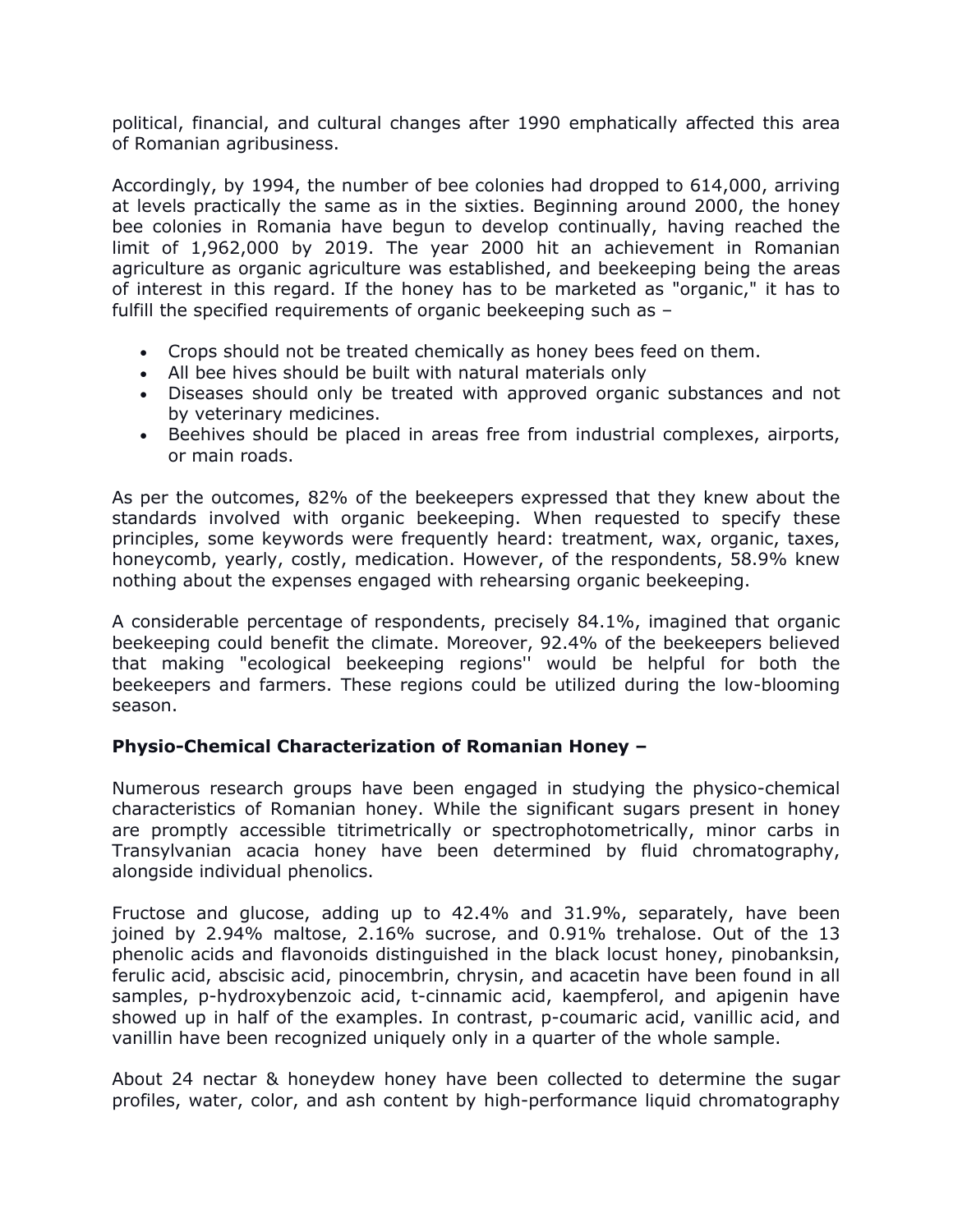political, financial, and cultural changes after 1990 emphatically affected this area of Romanian agribusiness.

Accordingly, by 1994, the number of bee colonies had dropped to 614,000, arriving at levels practically the same as in the sixties. Beginning around 2000, the honey bee colonies in Romania have begun to develop continually, having reached the limit of 1,962,000 by 2019. The year 2000 hit an achievement in Romanian agriculture as organic agriculture was established, and beekeeping being the areas of interest in this regard. If the honey has to be marketed as "organic," it has to fulfill the specified requirements of organic beekeeping such as –

- Crops should not be treated chemically as honey bees feed on them.
- All bee hives should be built with natural materials only
- Diseases should only be treated with approved organic substances and not by veterinary medicines.
- Beehives should be placed in areas free from industrial complexes, airports, or main roads.

As per the outcomes, 82% of the beekeepers expressed that they knew about the standards involved with organic beekeeping. When requested to specify these principles, some keywords were frequently heard: treatment, wax, organic, taxes, honeycomb, yearly, costly, medication. However, of the respondents, 58.9% knew nothing about the expenses engaged with rehearsing organic beekeeping.

A considerable percentage of respondents, precisely 84.1%, imagined that organic beekeeping could benefit the climate. Moreover, 92.4% of the beekeepers believed that making "ecological beekeeping regions'' would be helpful for both the beekeepers and farmers. These regions could be utilized during the low-blooming season.

### **Physio-Chemical Characterization of Romanian Honey –**

Numerous research groups have been engaged in studying the physico-chemical characteristics of Romanian honey. While the significant sugars present in honey are promptly accessible titrimetrically or spectrophotometrically, minor carbs in Transylvanian acacia honey have been determined by fluid chromatography, alongside individual phenolics.

Fructose and glucose, adding up to 42.4% and 31.9%, separately, have been joined by 2.94% maltose, 2.16% sucrose, and 0.91% trehalose. Out of the 13 phenolic acids and flavonoids distinguished in the black locust honey, pinobanksin, ferulic acid, abscisic acid, pinocembrin, chrysin, and acacetin have been found in all samples, p-hydroxybenzoic acid, t-cinnamic acid, kaempferol, and apigenin have showed up in half of the examples. In contrast, p-coumaric acid, vanillic acid, and vanillin have been recognized uniquely only in a quarter of the whole sample.

About 24 nectar & honeydew honey have been collected to determine the sugar profiles, water, color, and ash content by high-performance liquid chromatography